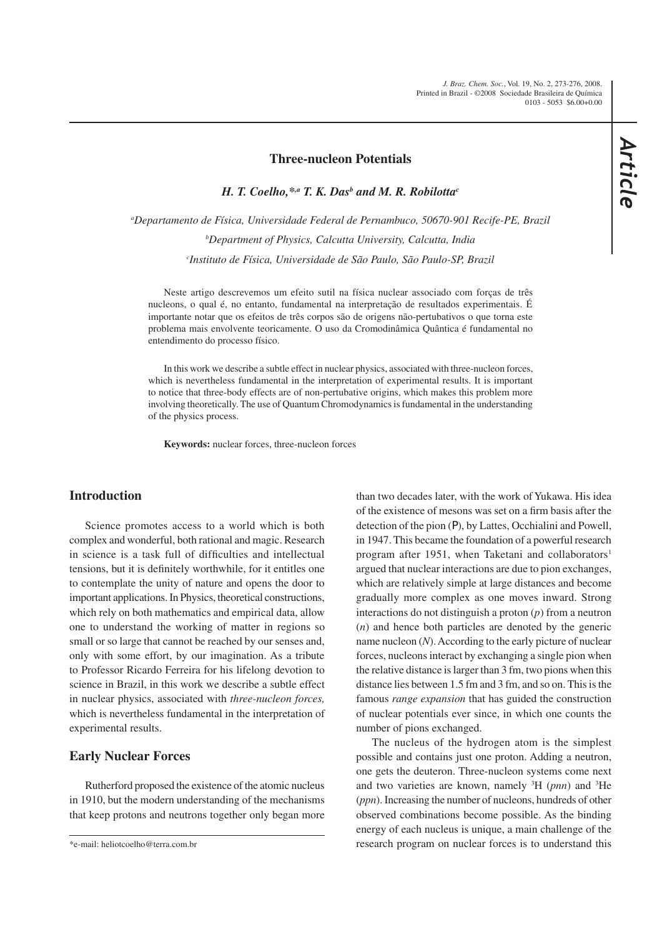#### **Three-nucleon Potentials**

*H. T. Coelho,\*,a T. K. Dasb and M. R. Robilottac*

*a Departamento de Física, Universidade Federal de Pernambuco, 50670-901 Recife-PE, Brazil b Department of Physics, Calcutta University, Calcutta, India c Instituto de Física, Universidade de São Paulo, São Paulo-SP, Brazil*

Neste artigo descrevemos um efeito sutil na física nuclear associado com forças de três nucleons, o qual é, no entanto, fundamental na interpretação de resultados experimentais. É importante notar que os efeitos de três corpos são de origens não-pertubativos o que torna este problema mais envolvente teoricamente. O uso da Cromodinâmica Quântica é fundamental no entendimento do processo físico.

In this work we describe a subtle effect in nuclear physics, associated with three-nucleon forces, which is nevertheless fundamental in the interpretation of experimental results. It is important to notice that three-body effects are of non-pertubative origins, which makes this problem more involving theoretically. The use of Quantum Chromodynamics is fundamental in the understanding of the physics process.

**Keywords:** nuclear forces, three-nucleon forces

## **Introduction**

Science promotes access to a world which is both complex and wonderful, both rational and magic. Research in science is a task full of difficulties and intellectual tensions, but it is definitely worthwhile, for it entitles one to contemplate the unity of nature and opens the door to important applications. In Physics, theoretical constructions, which rely on both mathematics and empirical data, allow one to understand the working of matter in regions so small or so large that cannot be reached by our senses and, only with some effort, by our imagination. As a tribute to Professor Ricardo Ferreira for his lifelong devotion to science in Brazil, in this work we describe a subtle effect in nuclear physics, associated with *three-nucleon forces,* which is nevertheless fundamental in the interpretation of experimental results.

#### **Early Nuclear Forces**

Rutherford proposed the existence of the atomic nucleus in 1910, but the modern understanding of the mechanisms that keep protons and neutrons together only began more than two decades later, with the work of Yukawa. His idea of the existence of mesons was set on a firm basis after the detection of the pion  $(0)$ , by Lattes, Occhialini and Powell, in 1947. This became the foundation of a powerful research program after 1951, when Taketani and collaborators<sup>1</sup> argued that nuclear interactions are due to pion exchanges, which are relatively simple at large distances and become gradually more complex as one moves inward. Strong interactions do not distinguish a proton (*p*) from a neutron (*n*) and hence both particles are denoted by the generic name nucleon (*N*). According to the early picture of nuclear forces, nucleons interact by exchanging a single pion when the relative distance is larger than 3 fm, two pions when this distance lies between 1.5 fm and 3 fm, and so on. This is the famous *range expansion* that has guided the construction of nuclear potentials ever since, in which one counts the number of pions exchanged.

The nucleus of the hydrogen atom is the simplest possible and contains just one proton. Adding a neutron, one gets the deuteron. Three-nucleon systems come next and two varieties are known, namely 3 H (*pnn*) and 3 He (*ppn*). Increasing the number of nucleons, hundreds of other observed combinations become possible. As the binding energy of each nucleus is unique, a main challenge of the research program on nuclear forces is to understand this

<sup>\*</sup>e-mail: heliotcoelho@terra.com.br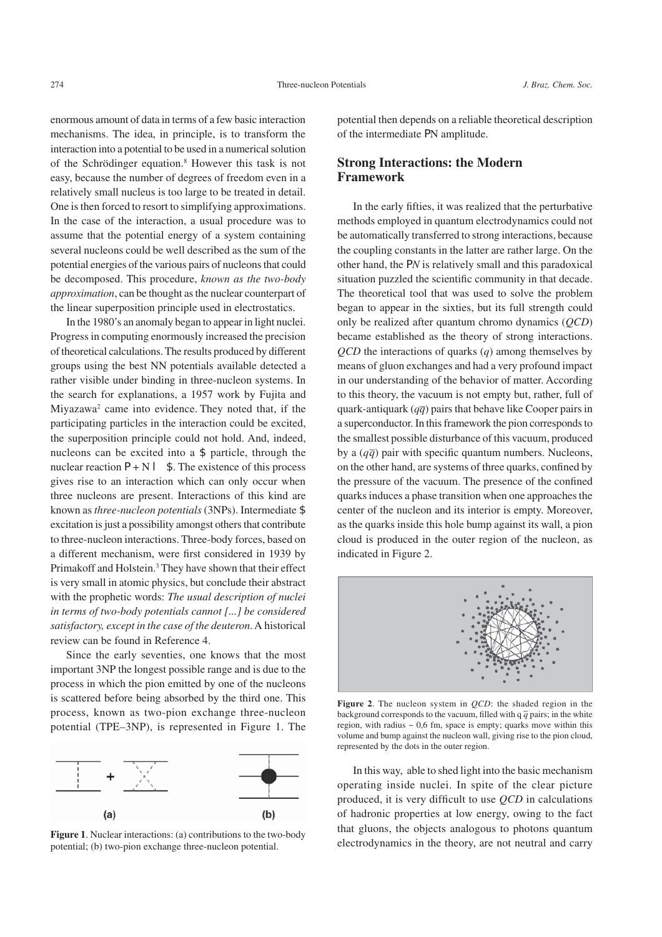enormous amount of data in terms of a few basic interaction mechanisms. The idea, in principle, is to transform the interaction into a potential to be used in a numerical solution of the Schrödinger equation.8 However this task is not easy, because the number of degrees of freedom even in a relatively small nucleus is too large to be treated in detail. One is then forced to resort to simplifying approximations. In the case of the interaction, a usual procedure was to assume that the potential energy of a system containing several nucleons could be well described as the sum of the potential energies of the various pairs of nucleons that could be decomposed. This procedure, *known as the two-body approximation*, can be thought as the nuclear counterpart of the linear superposition principle used in electrostatics.

In the 1980's an anomaly began to appear in light nuclei. Progress in computing enormously increased the precision of theoretical calculations. The results produced by different groups using the best NN potentials available detected a rather visible under binding in three-nucleon systems. In the search for explanations, a 1957 work by Fujita and Miyazawa<sup>2</sup> came into evidence. They noted that, if the participating particles in the interaction could be excited, the superposition principle could not hold. And, indeed, nucleons can be excited into a  $\pm$  particle, through the nuclear reaction  $\sigma + N \Leftarrow \pm$ . The existence of this process gives rise to an interaction which can only occur when three nucleons are present. Interactions of this kind are known as *three-nucleon potentials* (3NPs). Intermediate  $\pm$ excitation is just a possibility amongst others that contribute to three-nucleon interactions. Three-body forces, based on a different mechanism, were first considered in 1939 by Primakoff and Holstein.<sup>3</sup> They have shown that their effect is very small in atomic physics, but conclude their abstract with the prophetic words: *The usual description of nuclei in terms of two-body potentials cannot [...] be considered satisfactory, except in the case of the deuteron*. A historical review can be found in Reference 4.

Since the early seventies, one knows that the most important 3NP the longest possible range and is due to the process in which the pion emitted by one of the nucleons is scattered before being absorbed by the third one. This process, known as two-pion exchange three-nucleon potential (TPE–3NP), is represented in Figure 1. The



potential; (b) two-pion exchange three-nucleon potential.

potential then depends on a reliable theoretical description of the intermediate  $\sigma$ N amplitude.

# **Strong Interactions: the Modern Framework**

In the early fifties, it was realized that the perturbative methods employed in quantum electrodynamics could not be automatically transferred to strong interactions, because the coupling constants in the latter are rather large. On the other hand, the  $\sigma N$  is relatively small and this paradoxical situation puzzled the scientific community in that decade. The theoretical tool that was used to solve the problem began to appear in the sixties, but its full strength could only be realized after quantum chromo dynamics (*QCD*) became established as the theory of strong interactions. *QCD* the interactions of quarks (*q*) among themselves by means of gluon exchanges and had a very profound impact in our understanding of the behavior of matter. According to this theory, the vacuum is not empty but, rather, full of quark-antiquark  $(q\bar{q})$  pairs that behave like Cooper pairs in a superconductor. In this framework the pion corresponds to the smallest possible disturbance of this vacuum, produced by a  $(q\bar{q})$  pair with specific quantum numbers. Nucleons, on the other hand, are systems of three quarks, confined by the pressure of the vacuum. The presence of the confined quarks induces a phase transition when one approaches the center of the nucleon and its interior is empty. Moreover, as the quarks inside this hole bump against its wall, a pion cloud is produced in the outer region of the nucleon, as indicated in Figure 2.



**Figure 2**. The nucleon system in *QCD*: the shaded region in the background corresponds to the vacuum, filled with q  $\overline{q}$  pairs; in the white region, with radius  $\sim 0.6$  fm, space is empty; quarks move within this volume and bump against the nucleon wall, giving rise to the pion cloud, represented by the dots in the outer region.

In this way, able to shed light into the basic mechanism operating inside nuclei. In spite of the clear picture produced, it is very difficult to use *QCD* in calculations of hadronic properties at low energy, owing to the fact that gluons, the objects analogous to photons quantum Figure 1. Nuclear interactions: (a) contributions to the two-body<br>
electrodynamics in the theory, are not neutral and carry<br>
electrodynamics in the theory, are not neutral and carry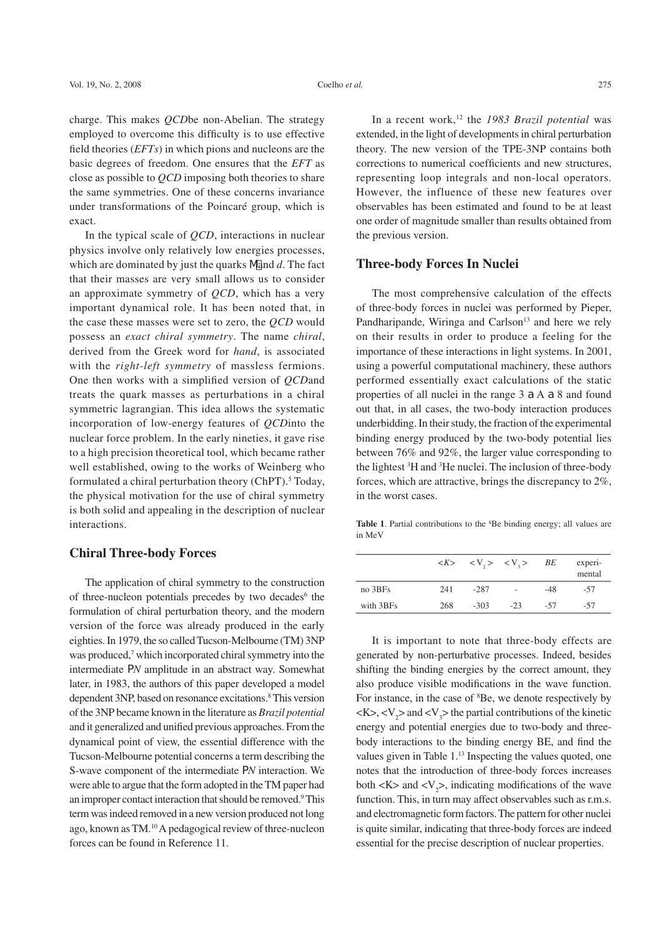charge. This makes *QCD*be non-Abelian. The strategy employed to overcome this difficulty is to use effective field theories (*EFTs*) in which pions and nucleons are the basic degrees of freedom. One ensures that the *EFT* as close as possible to *QCD* imposing both theories to share the same symmetries. One of these concerns invariance under transformations of the Poincaré group, which is exact.

In the typical scale of *QCD*, interactions in nuclear physics involve only relatively low energies processes, which are dominated by just the quarks  $\pi$  and *d*. The fact that their masses are very small allows us to consider an approximate symmetry of *QCD*, which has a very important dynamical role. It has been noted that, in the case these masses were set to zero, the *QCD* would possess an *exact chiral symmetry*. The name *chiral*, derived from the Greek word for *hand*, is associated with the *right-left symmetry* of massless fermions. One then works with a simplified version of *QCD*and treats the quark masses as perturbations in a chiral symmetric lagrangian. This idea allows the systematic incorporation of low-energy features of *QCD*into the nuclear force problem. In the early nineties, it gave rise to a high precision theoretical tool, which became rather well established, owing to the works of Weinberg who formulated a chiral perturbation theory (ChPT).<sup>5</sup> Today, the physical motivation for the use of chiral symmetry is both solid and appealing in the description of nuclear interactions.

## **Chiral Three-body Forces**

The application of chiral symmetry to the construction of three-nucleon potentials precedes by two decades<sup>6</sup> the formulation of chiral perturbation theory, and the modern version of the force was already produced in the early eighties. In 1979, the so called Tucson-Melbourne (TM) 3NP was produced,<sup>7</sup> which incorporated chiral symmetry into the intermediate  $\sigma$ *N* amplitude in an abstract way. Somewhat later, in 1983, the authors of this paper developed a model dependent 3NP, based on resonance excitations.<sup>8</sup> This version of the 3NP became known in the literature as *Brazil potential* and it generalized and unified previous approaches. From the dynamical point of view, the essential difference with the Tucson-Melbourne potential concerns a term describing the S-wave component of the intermediate  $\sigma$ *N* interaction. We were able to argue that the form adopted in the TM paper had an improper contact interaction that should be removed.<sup>9</sup> This term was indeed removed in a new version produced not long ago, known as TM.10 A pedagogical review of three-nucleon forces can be found in Reference 11.

In a recent work,<sup>12</sup> the *1983 Brazil potential* was extended, in the light of developments in chiral perturbation theory. The new version of the TPE-3NP contains both corrections to numerical coefficients and new structures, representing loop integrals and non-local operators. However, the influence of these new features over observables has been estimated and found to be at least one order of magnitude smaller than results obtained from the previous version.

## **Three-body Forces In Nuclei**

The most comprehensive calculation of the effects of three-body forces in nuclei was performed by Pieper, Pandharipande, Wiringa and Carlson<sup>13</sup> and here we rely on their results in order to produce a feeling for the importance of these interactions in light systems. In 2001, using a powerful computational machinery, these authors performed essentially exact calculations of the static properties of all nuclei in the range  $3 \Im A \Im 8$  and found out that, in all cases, the two-body interaction produces underbidding. In their study, the fraction of the experimental binding energy produced by the two-body potential lies between 76% and 92%, the larger value corresponding to the lightest <sup>3</sup>H and <sup>3</sup>He nuclei. The inclusion of three-body forces, which are attractive, brings the discrepancy to 2%, in the worst cases.

Table 1. Partial contributions to the <sup>8</sup>Be binding energy; all values are in MeV

|           |     |        | $\langle K \rangle$ $\langle V, \rangle$ $\langle V, \rangle$ $BE$ |       | experi-<br>mental |
|-----------|-----|--------|--------------------------------------------------------------------|-------|-------------------|
| no 3BFs   | 241 | -287   |                                                                    | $-48$ | $-57$             |
| with 3BFs | 268 | $-303$ | $-23$                                                              | -57   | -57               |
|           |     |        |                                                                    |       |                   |

It is important to note that three-body effects are generated by non-perturbative processes. Indeed, besides shifting the binding energies by the correct amount, they also produce visible modifications in the wave function. For instance, in the case of <sup>8</sup>Be, we denote respectively by  $\langle K \rangle$ ,  $\langle V_2 \rangle$  and  $\langle V_3 \rangle$  the partial contributions of the kinetic energy and potential energies due to two-body and threebody interactions to the binding energy BE, and find the values given in Table 1.<sup>13</sup> Inspecting the values quoted, one notes that the introduction of three-body forces increases both  $\langle K \rangle$  and  $\langle V_2 \rangle$ , indicating modifications of the wave function. This, in turn may affect observables such as r.m.s. and electromagnetic form factors. The pattern for other nuclei is quite similar, indicating that three-body forces are indeed essential for the precise description of nuclear properties.